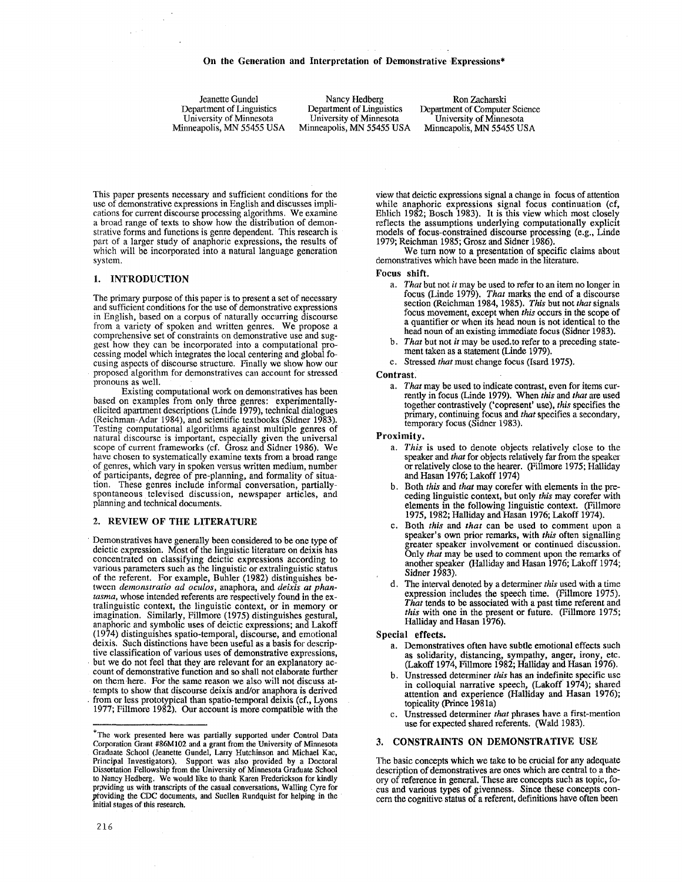Jeanette Gundel Department of Linguistics University of Minnesota Minneapolis, MN 55455 USA

Nancy Hedberg Department of Linguistics University of Minnesota Minneapolis, MN 55455 USA

Ron Zacharski Department of Computer Science University of Minnesota Minneapolis, MN 55455 USA

This paper presents necessary and sufficient conditions for the use of demonstrative expressions in English and discusses implications for current discourse processing algorithms. We examine a broad range of texts to show how the distribution of demonstrative forms and functions is genre dependent. This research is part of a larger study of anaphoric expressions, the results of which will be incorporated into a natural language generation system.

## 1. INTRODUCTION

 $\sim$ 

The primary purpose of this paper is to present a set of necessary and sufficient conditions for the use of demonstrative expressions in English, based on a corpus of naturally occurring discourse from a variety of spoken and written genres. We propose a comprehensive set of constraints on demonstrative use and suggest how they can be incorporated into a computational processing model which integrates the local centering and global focusing aspects of discourse structure. Finally we show how our proposed algorithm for demonstratives can account for stressed pronouns as well.

Existing computational work on demonstratives has been based on examples from only three genres: experimentallyelicited apartment descriptions (Linde 1979), technical dialogues (Reichman-Adar 1984), and scientific textbooks (Sidner 1983). Testing computational algorithms against multiple genres of natural discourse is important, especially given the universal scope of current frameworks (cf. Grosz and Sidner 1986). We have chosen to systematically examine texts from a broad range of genres, which vary in spoken versus written medium, number of participants, degree of pre-planning, and formality of situation. These genres include informal conversation, partiallyspontaneous televised discussion, newspaper articles, and planning and technical documents.

## 2. REVIEW OF THE LITERATURE

Demonstratives have generally been considered to be one type of deictic expression. Most of the linguistic literature on deixis has concentrated on classifying deictic expressions according to various parameters such as the linguistic or extralinguistic status of the referent. For example, Buhler (1982) distinguishes between *demonstratio ad oculos,* anaphora, and *deixis at phantasma,* whose intended referents are respectively found in the extralinguistic context, the linguistic context, or in memory or imagination. Similarly, Fillmore (1975) distinguishes gestural, anaphoric and symbolic uses of deictic expressions; and Lakoff (1974) distinguishes spatio-temporal, discourse, and emotional deixis. Such distinctions have been useful as a basis for descriptive classification of various uses of demonstrative expressions, but we do not feel that they are relevant for an explanatory account of demonstrative function and so shall not elaborate further on them here. For the same reason we also will not discuss attempts to show that discourse deixis and/or anaphora is derived from or less prototypical than spatio-temporal deixis (cf., Lyons 1977; Fillmore 1982). Our account is more compatible with the view that deictic expressions signal a change in focus of attention while anaphoric expressions signal focus continuation (cf, Ehlich 1982; Bosch 1983). It is this view which most closely reflects the assumptions underlying computationally explicit models of focus-constrained discourse processing (e.g., Linde 1979; Reichman 1985; Grosz and Sidner 1986).

We turn now to a presentation of specific claims about demonstratives which have been made in the literature.

### Focus shift.

- *a. That* but not *it* may be used to refer to an item no longer in focus (Linde 1979). *That* marks the end of a discourse section (Reichman 1984, 1985). *This* but not *that* signals focus movement, except when *this* occurs in the scope of a quantifier or when its head noun is not identical to the head noun of an existing immediate focus (Sidner 1983).
- *b. That* but not *it* may be used.to refer to a preceding statement taken as a statement (Linde 1979).
- c. Stressed *that* must change focus (Isard 1975).

#### Contrast.

a. That may be used to indicate contrast, even for items currently in focus (Linde 1979). When *this* and *that* are used together contrastively ('copresent' use), *this* specifies the primary, continuing focus and *that* specifies a secondary, temporary focus (Sidner 1983).

## Proximity.

- *a. This* is used to denote objects relatively close to the speaker and *that* for objects relatively far from the speaker or relatively close to the hearer. (Fillmore 1975; Halliday and Hasan 1976; Lakoff 1974)
- b. Both *this and that* may corefer with elements in the preceding linguistic context, but only this may corefer with elements in the following linguistic context. (Fillmore 1975, 1982; HaUiday and Hasan 1976; Lakoff 1974).
- c. Both *this* and *that* can be used to comment upon a speaker's own prior remarks, with *this* often signalling greater speaker involvement or continued discussion. Only *that* may be used to comment upon the remarks of another speaker (Halliday and Hasan 1976; Lakoff 1974; Sidner 1983).
- d. The interval denoted by a determiner *this* used with a time expression includes the speech time. (Fillmore 1975). *That* tends to be associated with a past time referent and *this* with one in the present or future. (Fillmore 1975; Halliday and Hasan 1976).

#### Special effects.

- a. Demonstratives often have subtle emotional effects such as solidarity, distancing, sympathy, anger, irony, etc. (Lakoff 1974, Fillmore 1982; Halliday mad Hasan 1976).
- b. Unstressed determiner *this* has an indefinite specific use in colloquial narrative speech, (Lakoff 1974); shared attention and experience (Halliday and Hasan 1976); topicality (Prince 1981a)
- Unstressed determiner *that* phrases have a first-mention use for expected shared referents. (Wald 1983).

# 3. CONSTRAINTS ON DEMONSTRATIVE USE

The basic concepts which we take to be crucial for any adequate description of demonstratives are ones which are central to a theory of reference in general. These are concepts such as topic, focus and various types of givenness. Since these concepts concern the cognitive status of a referent, definitions have often been

<sup>\*</sup>The work presented here was partially supported under Control Data Corporation Grant #86M102 and a grant from the University of Minnesota Graduate School (Jeanette Gundel, Larry Hutchinson and Michael Kac, Principal Investigators). Support was also provided by a Doctoral Dissortation Fellowship from the University of Minnesota Graduate School to Nancy Hedberg. We would like to thank Karen Frederickson for kindly providing us with transcripts of the casual conversations, Walling Cyre for providing the CDC documents, and Suellen Rundquist for helping in the nitial stages of this research.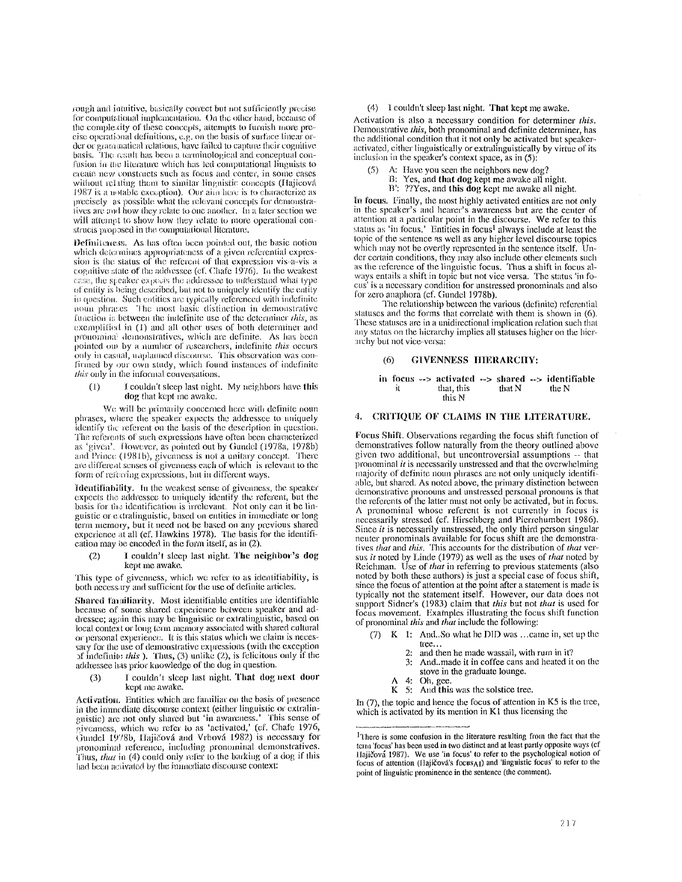rough and intuitive, basically correct but not sufficiently precise for computational implementation. On the other hand, because of the complexity of these concepts, attempts to furnish more prethe comparison of maximum entries the pass of surface linear or-<br>der or grammatical relations, e.g. on the basis of surface linear or-<br>der or grammatical relations, have failed to capture their cognitive basis. The result has been a terminological and conceptual confusion in the literature which has led computational linguists to create new constructs such as focus and center, in some cases without relating them to similar linguistic concepts (Hajicová 1987 is a notable exception). Our aim here is to characterize as precisely as possible what the relevant concepts for demonstratives are and how they relate to one another. In a later section we will attempt to show how they relate to more operational constructs proposed in the computational literature.

Definiteness. As has often been pointed out, the basic notion which determines appropriateness of a given referential expression is the status of the referent of that expression vis-a-vis a cognitive state of the addressee (cf. Chafe 1976). In the weakest case, the speaker expects the addressee to understand what type of entity is being described, but not to uniquely identify the entity in question. Such entities are typically referenced with indefinite noun phrases. The most basic distinction in demonstrative function is between the indefinite use of the determiner this, as exemplified in (1) and all other uses of both determiner and pronominal demonstratives, which are definite. As has been<br>pointed out by a number of researchers, indefinite this occurs only in casual, unplanned discourse. This observation was confirmed by our own study, which found instances of indefinite this only in the informal conversations.

I couldn't sleep last night. My neighbors have this  $(1)$ dog that kept me awake.

We will be primarily concerned here with definite noun phrases, where the speaker expects the addressee to uniquely identify the referent on the basis of the description in question. The referents of such expressions have often been characterized as 'given'. However, as pointed out by Gundel (1978a, 1978b) and Prince (1981b), givenness is not a unitary concept. There are different senses of givenness each of which is relevant to the form of referring expressions, but in different ways.

Identifiability. In the weakest sense of givenness, the speaker expects the addressee to uniquely identify the referent, but the basis for the identification is irrelevant. Not only can it be linguistic or extralinguistic, based on entities in immediate or long term memory, but it need not be based on any previous shared experience at all (cf. Hawkins 1978). The basis for the identification may be encoded in the form itself, as in (2).

 $(2)$ I couldn't sleep last night. The neighbor's dog kept me awake.

This type of givenness, which we refer to as identifiability, is both necessary and sufficient for the use of definite articles.

Shared familiarity. Most identifiable entities are identifiable because of some shared experience between speaker and addressee; again this may be linguistic or extralinguistic, based on local context or long term memory associated with shared cultural or personal experience. It is this status which we claim is necessary for the use of demonstrative expressions (with the exception of indefinite this ). Thus,  $(3)$  unlike  $(2)$ , is felicitous only if the addressee has prior knowledge of the dog in question.

I couldn't sleep last night. That dog next door  $(3)$ kept me awake.

Activation. Entities which are familiar on the basis of presence in the immediate discourse context (either linguistic or extralinm in minimum incolures connext contain and the minimum state of pivenness, which we refer to as 'activated,' (cf. Chafe 1976, Gundel 1978b, Hajičová and Vrbová 1982) is necessary for pronominal reference, including pronominal demonstratives. Thus, that in (4) could only refer to the barking of a dog if this had been activated by the inimediate discourse context:

### (4) I couldn't sleep last night. That kept me awake.

Activation is also a necessary condition for determiner this. Demonstrative this, both pronominal and definite determiner, has the additional condition that it not only be activated but speakeractivated, either linguistically or extralinguistically by virtue of its inclusion in the speaker's context space, as in (5).

- A: Have you seen the neighbors new dog?
	- B: Yes, and that dog kept me awake all night.<br>B: Yes, and that dog kept me awake all night.
	-

In focus. Finally, the most highly activated entities are not only in the speaker's and hearer's awareness but are the center of attention at a particular point in the discourse. We refer to this status as 'in focus,' Entities in focus<sup>1</sup> always include at least the topic of the sentence as well as any higher level discourse topics which may not be overtly represented in the sentence itself. Under certain conditions, they may also include other elements such as the reference of the linguistic focus. Thus a shift in focus always entails a shift in topic but not vice versa. The status 'in focus' is a necessary condition for unstressed pronominals and also for zero anaphora (cf. Gundel 1978b).

The relationship between the various (definite) referential statuses and the forms that correlate with them is shown in (6). These statuses are in a unidirectional implication relation such that any status on the hierarchy implies all statuses higher on the hierarchy but not vice-versa:

#### $(6)$ GIVENNESS HIERARCHY:

in focus --> activated --> shared --> identifiable that, this that N the N it this N

# 4. CRITIQUE OF CLAIMS IN THE LITERATURE.

Focus Shift. Observations regarding the focus shift function of demonstratives follow naturally from the theory outlined above given two additional, but uncontroversial assumptions -- that pronominal  $\dot{u}$  is necessarily unstressed and that the overwhelming majority of definite noun phrases are not only uniquely identifiable, but shared. As noted above, the primary distinction between demonstrative pronouns and unstressed personal pronouns is that the referents of the latter must not only be activated, but in focus. A pronominal whose referent is not currently in focus is<br>necessarily stressed (cf. Hirschberg and Pierrehumbert 1986). Since it is necessarily unstressed, the only third person singular neuter pronominals available for focus shift are the demonstratives that and this. This accounts for the distribution of that versus *it* noted by Linde (1979) as well as the uses of *that* noted by Reichman. Use of that in referring to previous statements (also noted by both these authors) is just a special case of focus shift, since the focus of attention at the point after a statement is made is typically not the statement itself. However, our data does not support Sidner's (1983) claim that this but not that is used for focus movement. Examples illustrating the focus shift function of pronominal this and that include the following:

- (7) K 1: And. So what he DID was ...came in, set up the tree...
	- and then he made wassail, with rum in it?
	- $3:$ And. made it in coffee cans and heated it on the stove in the graduate lounge.
	- 4: Oh, gee.
	- A 4: Oh, gee.<br>K 5: And this was the solstice tree.

In  $(7)$ , the topic and hence the focus of attention in K5 is the tree, which is activated by its mention in K1 thus licensing the

<sup>&</sup>lt;sup>1</sup>There is some confusion in the literature resulting from the fact that the term 'focus' has been used in two distinct and at least partly opposite ways (cf Hajičová 1987). We use 'in focus' to refer to the psychological notion of focus of attention (Hajičová's focusAI) and 'linguistic focus' to refer to the point of linguistic prominence in the sentence (the comment).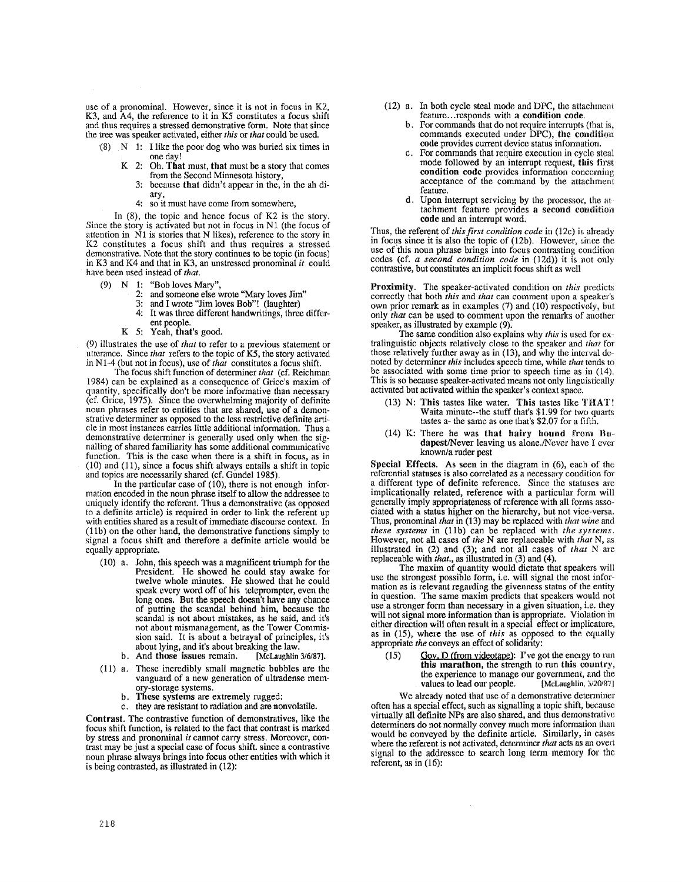use of a pronominal. However, since it is not in focus in K2, K3, and A4, the reference to it in K5 constitutes a focus shift and thus requires a stressed demonstrative form. Note that since the tree was speaker activated, either *this* or *that* could be used.

- $(8)$  N 1: I like the poor dog who was buried six times in one day!
	- K 2: Oh. That must, that must be a story that comes from the Second Minnesota history,
		- 3: because that didn't appear in the, in the ah diary,
		- 4: so it must have come from somewhere,

In (8), the topic and hence focus of K2 is the story. Since the story is activated but not in focus in N1 (the focus of attention in  $\tilde{N}1$  is stories that N likes), reference to the story in K2 constitutes a focus shift and thus requires a stressed demonstrative. Note that the story continues to be topic (in focus) in K3 and K4 and that in K3, an unstressed pronominal *it* could have been used instead of *that.* 

- (9) N 1: "Bob loves Mary",
	- 2: and someone else wrote "Mary loves Jim"<br>3: and I wrote "Iim loves Boh"! (laughter)
	- 3: and I wrote "Jim loves Bob"! (laughter)<br>4: It was three different handwritings, three
	- It was three different handwritings, three different people.
	- K 5: Yeah, that's good.

(9) illustrates the use of *that* to refer to a previous statement or utterance. Since *that* refers to the topic of K5, the story activated in N1-4 (but not in focus), use of *that* constitutes a focus shift.

The focus shift function of determiner *that* (cf. Reichman 1984) can be explained as a consequence of Grice's maxim of quantity, specifically don't be more informative than necessary (cf. Grice, 1975). Since the overwhelming majority of definite noun phrases refer to entities that are shared, use of a demonstrative determiner as opposed to the less restrictive definite article in most instances carries little additional information. Thus a demonstrative determiner is generally used only when the signalling of shared familiarity has some additional communicative function. This is the case when there is a shift in focus, as in (10) and (11), since a focus shift always entails a shift in topic and topics are necessarily shared (cf. Gundel 1985).

In the particular case of (10), there is not enough information encoded in the noun phrase itself to allow the addressee to uniquely identify the referent. Thus a demonstrative (as opposed to a definite article) is required in order to link the referent up with entities shared as a result of immediate discourse context. In (1 lb) on the other hand, the demonstrative functions simply to signal a focus shift and therefore a definite article would be equally appropriate.

- (10) a. John, this speech was a magnificent triumph for the President. He showed he could stay awake for twelve whole minutes. He showed that he could speak every word off of his teleprompter, even the long ones. But the speech doesn't have any chance of putting the scandal behind him, because the scandal is not about mistakes, as he said, and it's not about mismanagement, as the Tower Commission said. It is about a betrayal of principles, it's
	- about lying, and it's about breaking the law.<br>And those issues remain. [McLaughlin 3/6/87]. b. And those issues remain.
- (11) a. These incredibly small magnetic bubbles are the vanguard of a new generation of ultradense memory-storage systems.
	- b. These systems are extremely rugged:
	- they are resistant to radiation and are nonvolatile.

Contrast. The contrastive function of demonstratives, like the focus shift function, is related to the fact that contrast is marked by stress and pronominal *it* cannot carry stress. Moreover, contrast may be just a special case of focus shift, since a eontrastive noun phrase always brings into focus other entities with which it is being contrasted, as illustrated in (12):

- (12) a. In both cycle steal mode and DPC, the attachmeni feature...responds with a **condition code.** 
	- b. For commands that do not require interrupts (that is, commands executed under DPC), the condition **code** provides current device status information.
	- For commands that require execution in cycle steal mode followed by an interrupt request, this first **condition code** provides information concerning acceptance of the command by the attachment feature.
	- d. Upon interrupt servicing by the processor, the at tachment feature provides a second condition **code** and an interrupt word.

Thus, the referent of *thisfirst condition code* in (12c) is already in focus since it is also the topic of  $(12b)$ . However, since the use of this noun phrase brings into focus contrasting condition codes (cf. *a second condition code* in (12d)) it is not only contrastive, but constitutes an implicit focus shift as well

Proximity. The speaker-activated condition on *this* predicts correctly that both *this* and *that* can comment upon a speaker's own prior remark as in examples (7) and (10) respectively, but only *that* can be used to comment upon the remarks of another speaker, as illustrated by example (9).

The same condition also explains why *this* is used for extralinguistic objects relatively close to the speaker and *that* for those relatively further away as in  $(13)$ , and why the interval denoted by determiner *this* includes speech time, while *that* tends to be associated with some time prior to speech time as in  $(14)$ . This is so because speaker-activated means not only linguistically activated but activated within the speaker's context space.

- (13) N: This tastes like water. This tastes like THAT! Waita minute--the stuff that's \$1.99 for two quarts tastes a- the same as one that's  $$2.07$  for a fifth.
- $(14)$  K: There he was that hairy hound from Budapest/Never leaving us alone./Never have I ever known/a ruder pest

Special Effects. As seen in the diagram in (6), each of the referential statuses is also correlated as a necessary condition for a different type of definite reference. Since the statuses are implicationally related, reference with a particular form will generally imply appropriateness of reference with all forms associated with a status higher on the hierarchy, but not vice-versa. Thus, pronominal *that in* (13) may be replaced with *that wine and these systems* in (llb) can be replaced with *the systems.*  However, not all cases of *the* N are replaceable with *that* N, as illustrated in (2) and (3); and not all cases of *that* N are replaceable with *that., as* illustrated in (3) and (4).

The maxim of quantity would dictate that speakers will use the strongest possible form, i.e. will signal the most information as is relevant regarding the givenness status of the entity in question. The same maxim predicts that speakers would not use a stronger form than necessary in a given situation, i.e. they will not signal more information than is appropriate. Violation in either direction will often result in a special effect or implicature, as in (15), where the use of *this* as opposed to the equally appropriate the conveys an effect of solidarity:

(15) Gov. D (from videotape): I've got the energy to run **this marathon,** the slrength to run this country, the experience to manage our government, and the values to lead our people. [McLaughlin, 3/20/87] values to lead our people.

We already noted that use of a demonstrative determiner often has a special effect, such as signalling a topic shift, because virtually all definite NPs are also shared, and thus demonstrative determiners do not normally convey much more infommtion than would be conveyed by the definite article. Similarly, in cases where the referent is not activated, determiner *that* acts as an overt signal to the addressee to search long term memory for the referent, as in (16):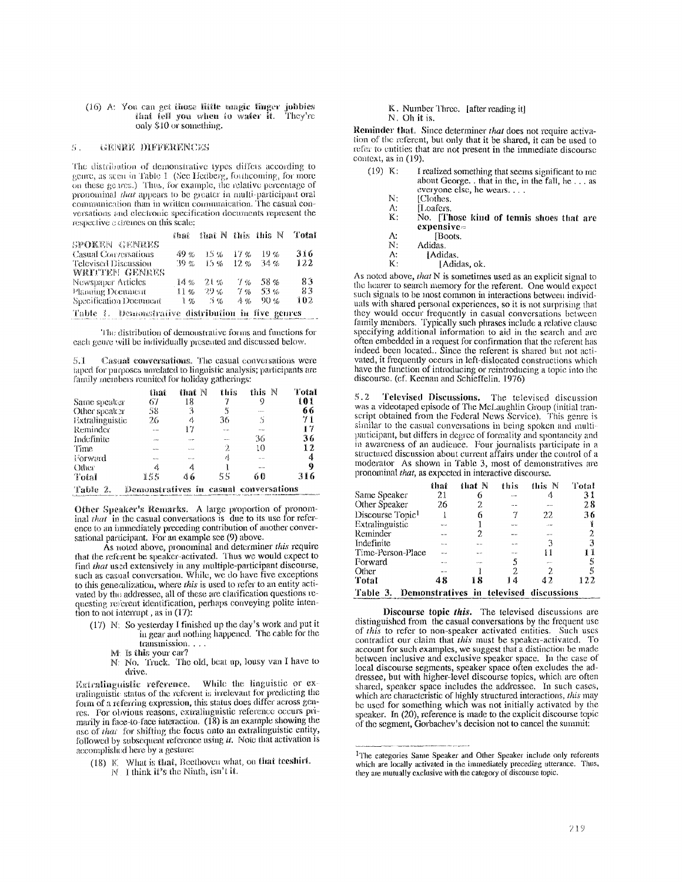$(16)$  A: You can get those little magic finger jobbies that fell you when to water it. They're only \$10 or something.

#### GENRE DIFFERENCES  $E_{\rm 1-}^{\prime}$

The distribution of demonstrative types differs according to genre, as seen in Table 1 (See Hedberg, forthcoming, for more on these genres.) Thus, for example, the relative percentage of pronominal *that* appears to be greater in multi-participant oral communication than in written communication. The casual conversations and electronic specification documents represent the respective extremes on this scale:

|                                                    | ដាំងអត់ |         |                       | that $N$ this this $N$ | Total |
|----------------------------------------------------|---------|---------|-----------------------|------------------------|-------|
| SPOKEN GENRES                                      |         |         |                       |                        |       |
| <b>Casual Conversations</b>                        | 49 %    | 15 %    | - 17 %                | 19%                    | 316   |
| Televised Discussion                               | 39 %    | $1.5\%$ | $12\%$                | 34 %                   | 122   |
| WRTTEN GENRES                                      |         |         |                       |                        |       |
| Newspaper Articles                                 | 14%     | 21%     | 7 %                   | 58%                    | 83    |
| Planning Document                                  | $11\%$  | 29 %    | $7\%$                 | 53%                    | 岩等    |
| Specification Document                             | 1%      | 5 %     | $A_{\mathcal{D}_{0}}$ | 90%                    | 102   |
| Table 1. Demonstrative distribution in five genres |         |         |                       |                        |       |

The distribution of demonstrative forms and functions for each genre will be individually presented and discussed below.

Casual conversations. The casual conversations were  $5 - 1$ taped for purposes umelated to linguistic analysis; participants are family members reunited for holiday gatherings:

|                 | that         | that N   | this  | N<br>this                          | Total |
|-----------------|--------------|----------|-------|------------------------------------|-------|
| Same speaker    | 67           | 18       |       | 9                                  | 101   |
| Other speaker   | 58           | 3        | 5     | Same.                              | 66    |
| Extralinguistic | 26           | 4        | 36    | S                                  | 71    |
| Reminder        | 52.54        | 17       | 1.111 | <b>COMM</b>                        | 17    |
| Indefinite      | $-0.5 - 0.0$ | $\cdots$ | $-11$ | 36                                 | 36    |
| Time            | <b>SWAM</b>  | ----     | 2     | 10                                 | 12    |
| Norward         | --           | 1.7.1    | 4     | <b>AN AN</b>                       | 4     |
| Other           | 4            | 4        |       | 10.14                              | 9     |
| Total           | 155          | 46       | 55    | 60                                 | 316   |
| クロス ちょうこう       |              |          |       | Dominicative in cornel convertions |       |

Table 2. Demonstratives in casual conversations

Other Speaker's Remarks. A large proportion of pronominal that in the casual conversations is due to its use for reference to an immediately preceding contribution of another conversational participant. For an example see (9) above.

As noted above, pronominal and determiner this require that the referent be speaker-activated. Thus we would expect to find that used extensively in any multiple-participant discourse,<br>such as casual conversation. While, we do have five exceptions to this generalization, where this is used to refer to an entity activated by the addressee, all of these are clarification questions requesting referent identification, perhaps conveying polite intention to not interrupt, as in  $(17)$ :

- (17) N: So yesterday I finished up the day's work and put it<br>in gear and nothing happened. The cable for the transmission...
	- M: Is this your car?
	- N: No. Truck. The old, beat up, lousy van I have to drive.

Extralinguistic reference. While the linguistic or extralinguistic status of the referent is irrelevant for predicting the form of a referring expression, this status does differ across genres. For obvious reasons, extralinguistic reference occurs primarily in face-to-face interaction. (18) is an example showing the use of that for shifting the focus onto an extralinguistic entity, followed by subsequent reference using it. Now that activation is accomplished here by a gesture:

(18) K. What is that, Beethoven what, on that teeshirt. N. I think it's the Ninth, isn't it.

## K. Number Three. [after reading it]

N. Oh it is.

Κ:

Reminder that. Since determiner that does not require activation of the referent, but only that it be shared, it can be used to refer to entities that are not present in the immediate discourse context, as in (19).

| (19) K: | I realized something that seems significant to me                       |
|---------|-------------------------------------------------------------------------|
|         | about George. $\ldots$ that in the $\ldots$ in the fall, he $\ldots$ as |
|         | everyone else, he wears                                                 |
| N:      | [Clothes.]                                                              |

| Loafers. |  |
|----------|--|
|          |  |

No. [Those kind of tennis shoes that are expensive= ots.

|  | ∫Boc |
|--|------|
|  |      |

N. Adidas. A:

[Adidas.  $K:$ 

[Adidas, ok.

As noted above, that N is sometimes used as an explicit signal to the hearer to search memory for the referent. One would expect such signals to be most common in interactions between individuals with shared personal experiences, so it is not surprising that they would occur frequently in casual conversations between<br>family members. Typically such phrases include a relative clause specifying additional information to aid in the search and are often embedded in a request for confirmation that the referent has indeed been located.. Since the referent is shared but not activated, it frequently occurs in left-dislocated constructions which have the function of introducing or reintroducing a topic into the discourse. (cf. Keenan and Schieffelin. 1976)

 $5.2$ Televised Discussions. The televised discussion was a videotaped episode of The McLaughlin Group (initial transcript obtained from the Federal News Service). This genre is similar to the casual conversations in being spoken and multiparticipant, but differs in degree of formality and spontaneity and in awareness of an audience. Four journalists participate in a structured discussion about current affairs under the control of a moderator As shown in Table 3, most of demonstratives are pronominal that, as expected in interactive discourse.

|                              | that         | that N | this                                    | this N | Total          |
|------------------------------|--------------|--------|-----------------------------------------|--------|----------------|
| Same Speaker                 | 21           |        | <b>BAC 80</b>                           |        | 31             |
| Other Speaker                | 26           | 2      |                                         |        | 28             |
| Discourse Topic <sup>1</sup> |              | 6      |                                         | 22     | 36             |
| Extralinguistic              | --           |        |                                         |        |                |
| Reminder                     | to me        | 2      | ma sua                                  | ----   | $\overline{2}$ |
| Indefinite                   |              |        |                                         | 3      | 3              |
| Time-Person-Place            |              |        |                                         | 11     | 11             |
| Forward                      | er sa        |        |                                         | 20010  | 5              |
| Other                        | <b>PASSA</b> |        | 2.                                      | 2      | 5              |
| Total                        | 48           | 18     | 14                                      | 42     | 122            |
| Table 3.                     |              |        | Demonstratives in televised discussions |        |                |

Discourse topic this. The televised discussions are distinguished from the casual conversations by the frequent use of this to refer to non-speaker activated entities. Such uses contradict our claim that this must be speaker-activated. To account for such examples, we suggest that a distinction be made between inclusive and exclusive speaker space. In the case of local discourse segments, speaker space often excludes the addressee, but with higher-level discourse topics, which are often shared, speaker space includes the addressee. In such cases, which are characteristic of highly structured interactions, this may be used for something which was not initially activated by the speaker. In (20), reference is made to the explicit discourse topic of the segment, Gorbachev's decision not to cancel the summit:

<sup>&</sup>lt;sup>1</sup>The categories Same Speaker and Other Speaker include only referents which are locally activated in the immediately preceding utterance. Thus, they are mutually exclusive with the category of discourse topic.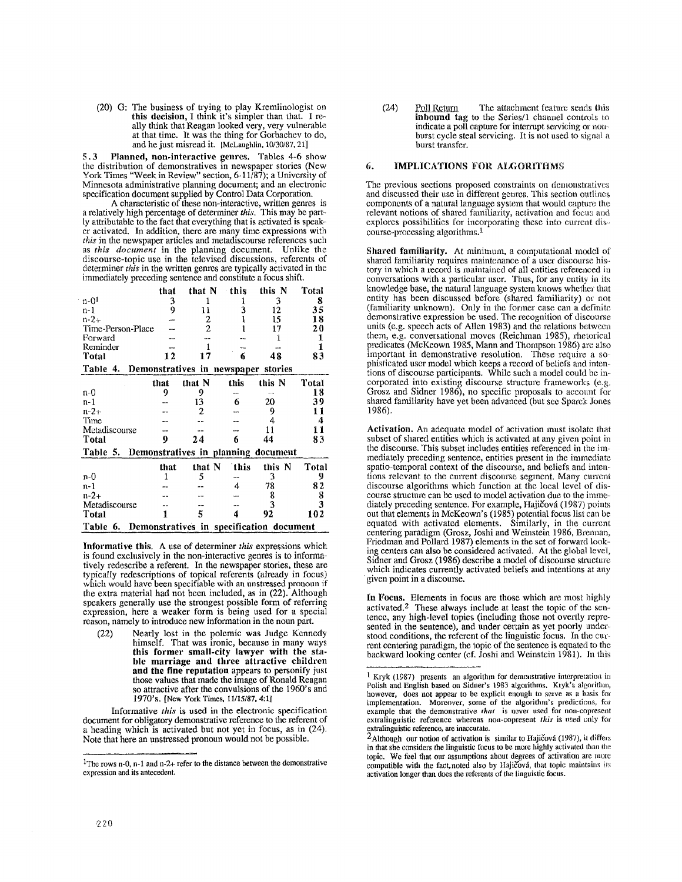(20) G: The business of trying to play Kremlinologist on **this decision,** I think it's simpler than that. I really think that Reagan looked very, very vulnerable at that time. It was the thing for Gorbacbev to do, and he just misread it. *[McLaughlin, tO/30/87,21]* 

5.3 Planned, non-interactive genres. Tables 4-6 show the distribution of demonstratives in newspaper stories (New York Times "Week in Review" section, 6-11/87); a University of Minnesota administrative planning document; and an electronic specification document supplied by Control Data Corporation.

A characteristic of these non-interactive, written genres is a relatively high percentage of determiner *this.* This may be partly attributable to the fact that everything that is activated is speaker activated. In addition, there are many time expressions with *this* in the newspaper articles and metadiscourse references such as *this document* in the planning document. Unlike the discourse-topic use in the televised discussions, referents of determiner *this* in the written genres are typically activated in the immediately preceding sentence and constitute a focus shift.

|                                                      | that | that N                              | this | this N | Total                   |  |  |
|------------------------------------------------------|------|-------------------------------------|------|--------|-------------------------|--|--|
| $n-01$                                               | 3    |                                     |      | 3      | 8                       |  |  |
| n-1                                                  | 9    | 11                                  | 3    | 12     | 35                      |  |  |
| $n - 2 +$                                            |      | 2                                   |      | 15     | 18                      |  |  |
| Time-Person-Place                                    |      | $\overline{2}$                      |      | 17     | 20                      |  |  |
| Forward                                              |      |                                     |      | 1      | 1                       |  |  |
| Reminder                                             |      |                                     |      |        | 1                       |  |  |
| Total                                                | 12   | 17                                  | 6    | 48     | 83                      |  |  |
| Table 4.                                             |      | Demonstratives in newspaper stories |      |        |                         |  |  |
|                                                      | that | that N                              | this | this N | Total                   |  |  |
| n-0                                                  | 9    | 9                                   |      |        | 18                      |  |  |
| n-1                                                  |      | 13                                  | 6    | 20     | 39                      |  |  |
| $n - 2 +$                                            |      | 2                                   |      | 9      | 11                      |  |  |
| Time                                                 |      |                                     |      |        | 4                       |  |  |
| Metadiscourse                                        |      |                                     |      | 11     | 11                      |  |  |
| <b>Total</b>                                         | 9    | 24                                  | 6    | 44     | 83                      |  |  |
| Demonstratives in planning document<br>Table 5.      |      |                                     |      |        |                         |  |  |
|                                                      | that | that N                              | this | this N | Total                   |  |  |
| n-0                                                  | 1    | 5                                   |      | 3      | 9                       |  |  |
| n-1                                                  |      |                                     | 4    | 78     | 82                      |  |  |
| $n - 2 +$                                            |      |                                     |      | 8      | 8                       |  |  |
| Metadiscourse                                        |      |                                     |      | 3      | $\overline{\mathbf{3}}$ |  |  |
| Total                                                |      | 5                                   | 4    | 92     | 102                     |  |  |
| Demonstratives in specification document<br>Table 6. |      |                                     |      |        |                         |  |  |

**Informative this.** A use of determiner *this* expressions which is found exclusively in the non-interactive genres is to informatively redescribe a referent. In the newspaper stories, these are typically redescriptions of topical referents (already in focus) which would have been specifiable with an unstressed pronoun if the extra material had not been included, as in (22). Although speakers generally use the strongest possible form of referring expression, here a weaker form is being used for a special reason, namely to introduce new information in the noun part.

(22) Nearly lost in the polemic was Judge Kennedy himself. That was ironic, because in many ways **this former small-city lawyer with the** stable **marriage and three attractive children**  and **the fine reputatiou** appears to personify just those values that made the image of Ronald Reagan so attractive after the convulsions of the 1960's and 1970's. [New York Times, 11/15/87, 4:ll

Informative *this* is used in the electronic specification document for obligatory demonstrative reference to the referent of a heading which is activated but not yet in focus, as in (24). Note that here an unstressed pronoun would not be possible.

(24) Poll Return The attachment feature sends this inbound tag to the Series/1 channel controls to indicate a poll capture for interrupt servicing or nonburst cycle steal servicing. It is not used to signal a burst transfer.

## 6. IMPLICATIONS FOR ALGORITHMS

The previous sections proposed constraints on demonstratives and discussed their use in different genres. This section outlines components of a natural language system that would capture the relevant notions of shared familiarity, activation and focus and explores possibilities for incorporating these into current dis~. course-processing algorithms. 1

Shared familiarity. At minimum, a computational model of shared familiarity requires maintenance of a user discourse history in which a record is maintained of all entities referenced in conversations with a particular user. Thus, for any entity in its knowledge base, the natural language system knows whether that entity has been discussed before (shared familiarity) or not (familiarity unknown). Only in the former case can a definite demonstrative expression be used. The recognition of discourse units (e.g. speech acts of Allen 1983) and the relations between them, e.g. conversational moves (Reichman 1985), rhetorical predicates (McKeown 1985, Mann and Thompson 1986) are also important in demonstrative resolution. These require a sophisticated user model which keeps a record of beliefs and intentions of discourse participants. While such a model could be incorporated into existing discourse structure frameworks (e.g. Grosz and Sidner 1986), no specific proposals to account for shared familiarity have yet been advanced (but see Sparck Jones 1986).

Activation. An adequate model of activation must isolate that subset of shared entities which is activated at any given point in the discourse. This subset includes entities referenced in the immediately preceding sentence, entities present in the immediate spatio-temporal context of the discourse, and beliefs and intentions relevant to the current discourse segment. Many current discourse algorithms which function at the local level of discourse structure can be used to model activation due to the immediately preceding sentence. For example, Hajičová (1987) points oat that elements in McKeown's (1985) potential focus list can be equated with activated elements. Similarly, in the current centering paradigm (Grosz, Joshi and Weinstein 1986, Brennan, Friedman and Pollard 1987) elements in the set of forward looking centers can also be considered activated. At the global level, Sidner and Grosz (1986) describe a model of discourse structure which indicates currently activated beliefs and intentions at any • given point in a discourse.

In Focus. Elements in focus are those which are most highly activated.<sup>2</sup> These always include at least the topic of the sentence, any high-level topics (including those not overtly represented in the sentence), and under certain as yet poorly understood conditions, the referent of the linguistic focus. In the current centering paradigm, the topic of the sentence is equated to the backward looking center (ef. Joshi and Weinstein 1981). In this

<sup>1</sup>The rows n-0, n-I and n-2+ refer to the distance between the demonstrative expression and its antecedent.

<sup>&</sup>lt;sup>1</sup> Kryk (1987) presents an algorithm for demonstrative interpretation in Polish and English based on Sidner's 1983 algorithms. Kryk's algorithm, bowever, does not appear to be explicit enough to serve as a basis for implementation. Moreover, some of the algorithm's predictions, for example that the demonstrative *that* is never used for non-copresent extralinguistic reference whereas non-copresent *this* is used only for extralinguistic reference, are inaccurate.

 $2$ Although our notion of activation is similar to Hajičová (1987), it differs in that she considers the linguistic focus to be more highly activated than the topic. We feel that our assumptions about degrees of activation are more compatible with the fact, noted also by Hajičová, that topic maintains its activation longer than does the referents of the linguistic focus.